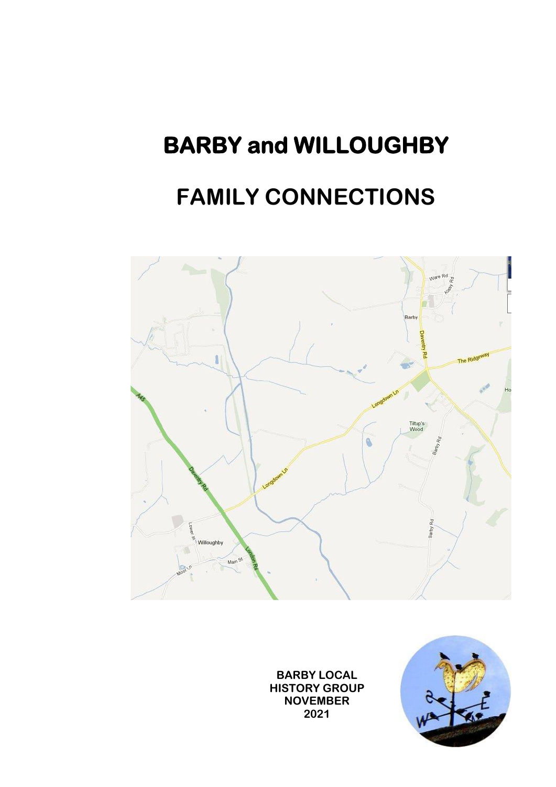# **BARBY and WILLOUGHBY**

# **FAMILY CONNECTIONS**



**BARBY LOCAL HISTORY GROUP NOVEMBER 2021**

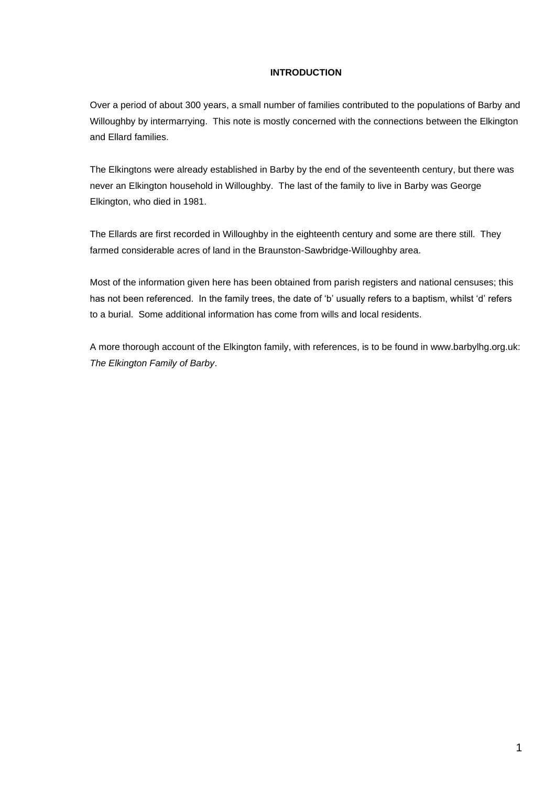### **INTRODUCTION**

Over a period of about 300 years, a small number of families contributed to the populations of Barby and Willoughby by intermarrying. This note is mostly concerned with the connections between the Elkington and Ellard families.

The Elkingtons were already established in Barby by the end of the seventeenth century, but there was never an Elkington household in Willoughby. The last of the family to live in Barby was George Elkington, who died in 1981.

The Ellards are first recorded in Willoughby in the eighteenth century and some are there still. They farmed considerable acres of land in the Braunston-Sawbridge-Willoughby area.

Most of the information given here has been obtained from parish registers and national censuses; this has not been referenced. In the family trees, the date of 'b' usually refers to a baptism, whilst 'd' refers to a burial. Some additional information has come from wills and local residents.

A more thorough account of the Elkington family, with references, is to be found in www.barbylhg.org.uk: *The Elkington Family of Barby*.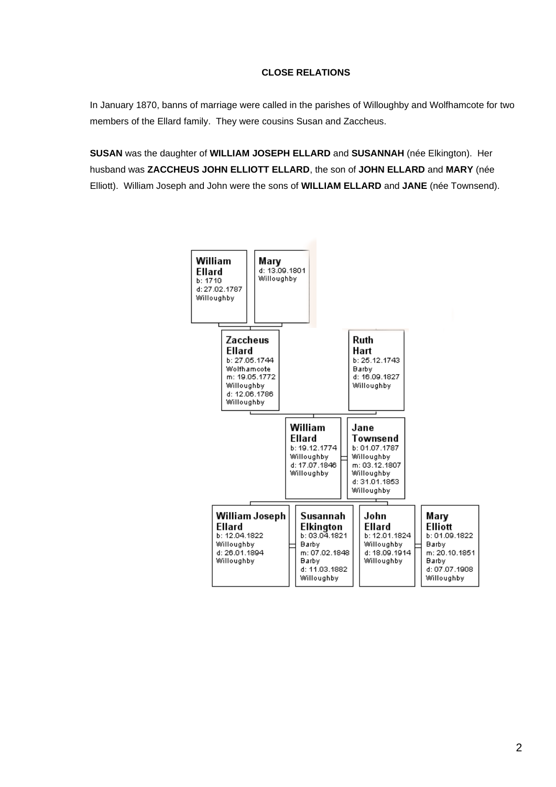#### **CLOSE RELATIONS**

In January 1870, banns of marriage were called in the parishes of Willoughby and Wolfhamcote for two members of the Ellard family. They were cousins Susan and Zaccheus.

**SUSAN** was the daughter of **WILLIAM JOSEPH ELLARD** and **SUSANNAH** (née Elkington). Her husband was **ZACCHEUS JOHN ELLIOTT ELLARD**, the son of **JOHN ELLARD** and **MARY** (née Elliott). William Joseph and John were the sons of **WILLIAM ELLARD** and **JANE** (née Townsend).

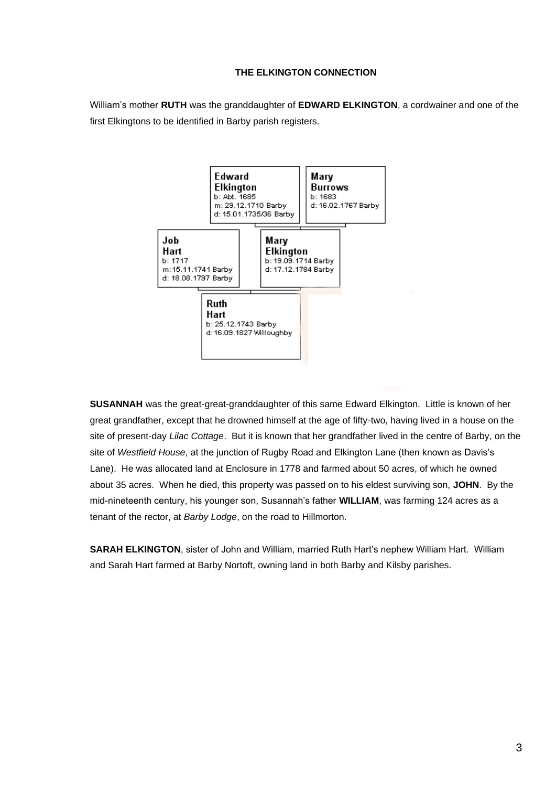#### **THE ELKINGTON CONNECTION**

William's mother **RUTH** was the granddaughter of **EDWARD ELKINGTON**, a cordwainer and one of the first Elkingtons to be identified in Barby parish registers.



**SUSANNAH** was the great-great-granddaughter of this same Edward Elkington. Little is known of her great grandfather, except that he drowned himself at the age of fifty-two, having lived in a house on the site of present-day *Lilac Cottage*. But it is known that her grandfather lived in the centre of Barby, on the site of *Westfield House*, at the junction of Rugby Road and Elkington Lane (then known as Davis's Lane). He was allocated land at Enclosure in 1778 and farmed about 50 acres, of which he owned about 35 acres. When he died, this property was passed on to his eldest surviving son, **JOHN**. By the mid-nineteenth century, his younger son, Susannah's father **WILLIAM**, was farming 124 acres as a tenant of the rector, at *Barby Lodge*, on the road to Hillmorton.

**SARAH ELKINGTON**, sister of John and William, married Ruth Hart's nephew William Hart. William and Sarah Hart farmed at Barby Nortoft, owning land in both Barby and Kilsby parishes.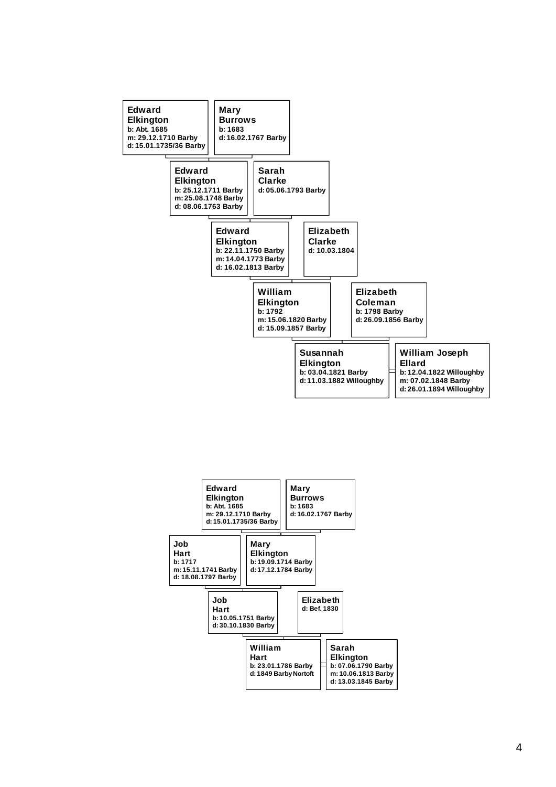

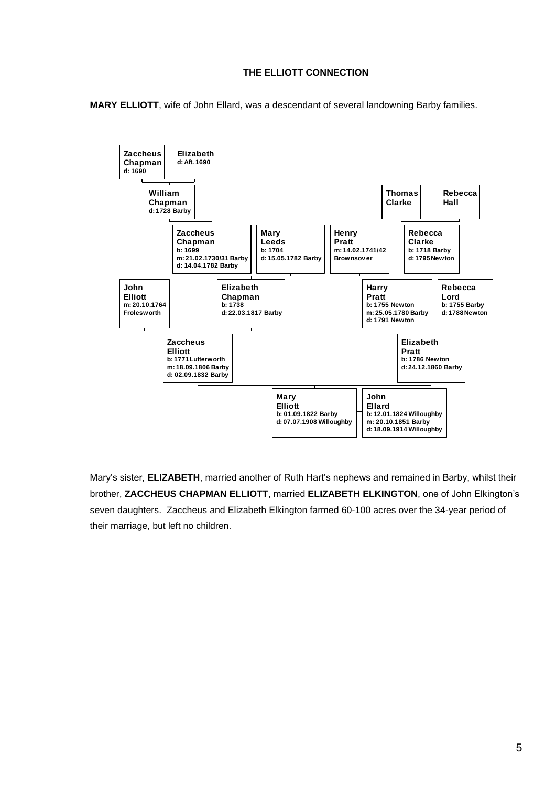## **THE ELLIOTT CONNECTION**

**MARY ELLIOTT**, wife of John Ellard, was a descendant of several landowning Barby families.



Mary's sister, **ELIZABETH**, married another of Ruth Hart's nephews and remained in Barby, whilst their brother, **ZACCHEUS CHAPMAN ELLIOTT**, married **ELIZABETH ELKINGTON**, one of John Elkington's seven daughters. Zaccheus and Elizabeth Elkington farmed 60-100 acres over the 34-year period of their marriage, but left no children.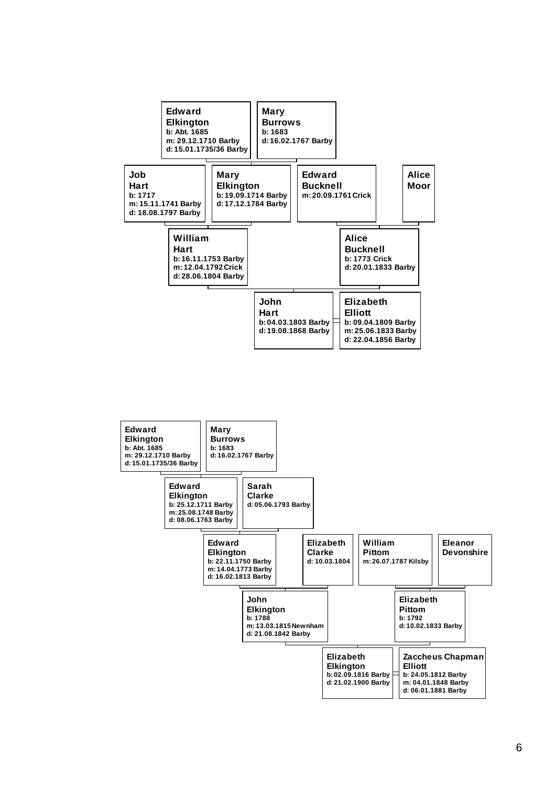

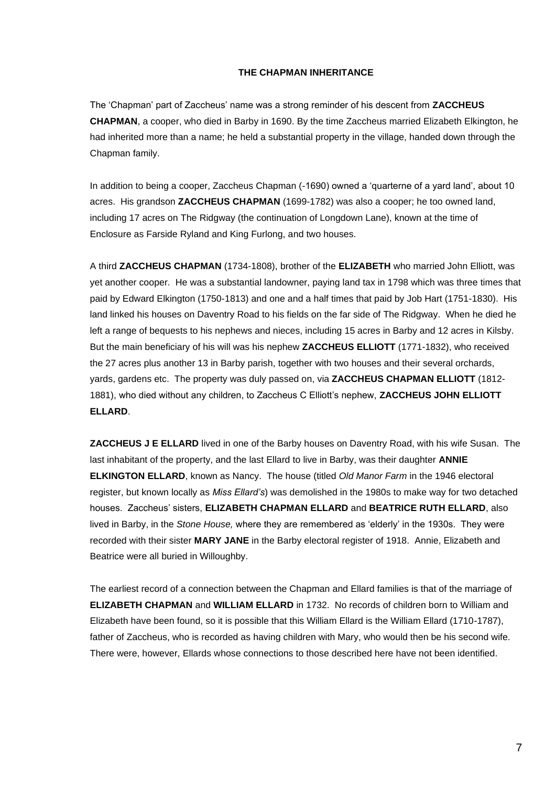#### **THE CHAPMAN INHERITANCE**

The 'Chapman' part of Zaccheus' name was a strong reminder of his descent from **ZACCHEUS CHAPMAN**, a cooper, who died in Barby in 1690. By the time Zaccheus married Elizabeth Elkington, he had inherited more than a name; he held a substantial property in the village, handed down through the Chapman family.

In addition to being a cooper, Zaccheus Chapman (-1690) owned a 'quarterne of a yard land', about 10 acres. His grandson **ZACCHEUS CHAPMAN** (1699-1782) was also a cooper; he too owned land, including 17 acres on The Ridgway (the continuation of Longdown Lane), known at the time of Enclosure as Farside Ryland and King Furlong, and two houses.

A third **ZACCHEUS CHAPMAN** (1734-1808), brother of the **ELIZABETH** who married John Elliott, was yet another cooper. He was a substantial landowner, paying land tax in 1798 which was three times that paid by Edward Elkington (1750-1813) and one and a half times that paid by Job Hart (1751-1830). His land linked his houses on Daventry Road to his fields on the far side of The Ridgway. When he died he left a range of bequests to his nephews and nieces, including 15 acres in Barby and 12 acres in Kilsby. But the main beneficiary of his will was his nephew **ZACCHEUS ELLIOTT** (1771-1832), who received the 27 acres plus another 13 in Barby parish, together with two houses and their several orchards, yards, gardens etc. The property was duly passed on, via **ZACCHEUS CHAPMAN ELLIOTT** (1812- 1881), who died without any children, to Zaccheus C Elliott's nephew, **ZACCHEUS JOHN ELLIOTT ELLARD**.

**ZACCHEUS J E ELLARD** lived in one of the Barby houses on Daventry Road, with his wife Susan. The last inhabitant of the property, and the last Ellard to live in Barby, was their daughter **ANNIE ELKINGTON ELLARD**, known as Nancy. The house (titled *Old Manor Farm* in the 1946 electoral register, but known locally as *Miss Ellard's*) was demolished in the 1980s to make way for two detached houses. Zaccheus' sisters, **ELIZABETH CHAPMAN ELLARD** and **BEATRICE RUTH ELLARD**, also lived in Barby, in the *Stone House,* where they are remembered as 'elderly' in the 1930s. They were recorded with their sister **MARY JANE** in the Barby electoral register of 1918. Annie, Elizabeth and Beatrice were all buried in Willoughby.

The earliest record of a connection between the Chapman and Ellard families is that of the marriage of **ELIZABETH CHAPMAN** and **WILLIAM ELLARD** in 1732. No records of children born to William and Elizabeth have been found, so it is possible that this William Ellard is the William Ellard (1710-1787), father of Zaccheus, who is recorded as having children with Mary, who would then be his second wife. There were, however, Ellards whose connections to those described here have not been identified.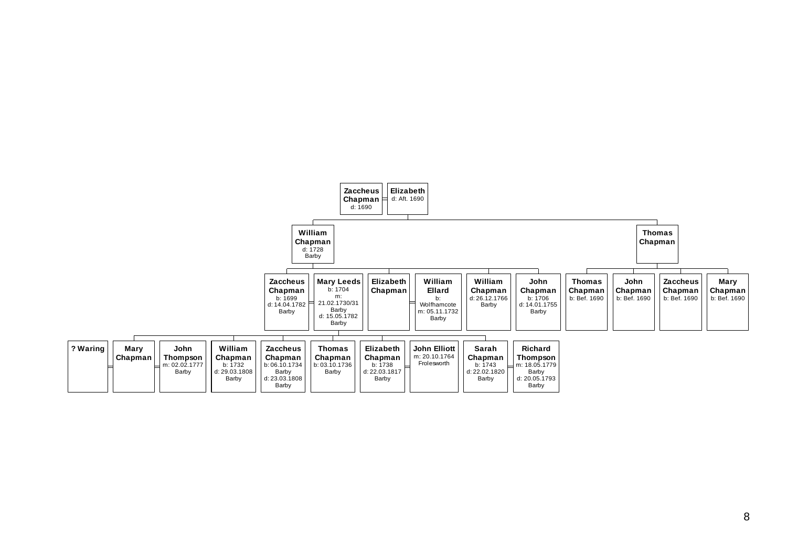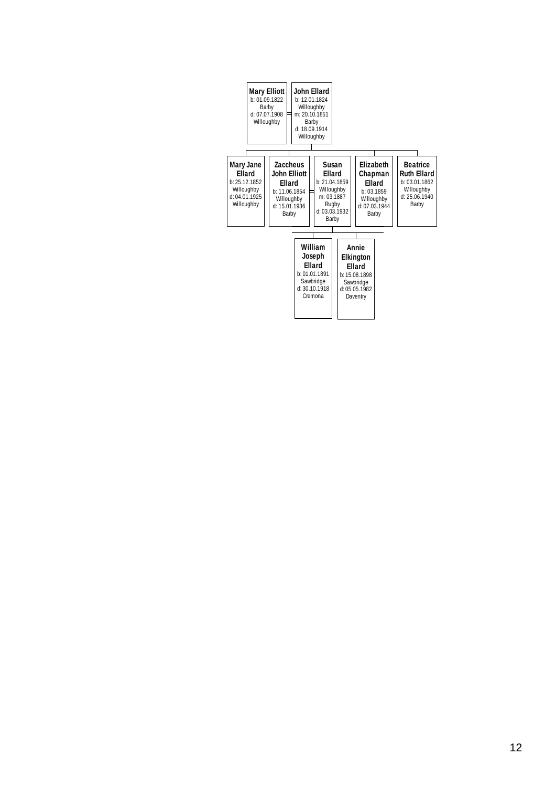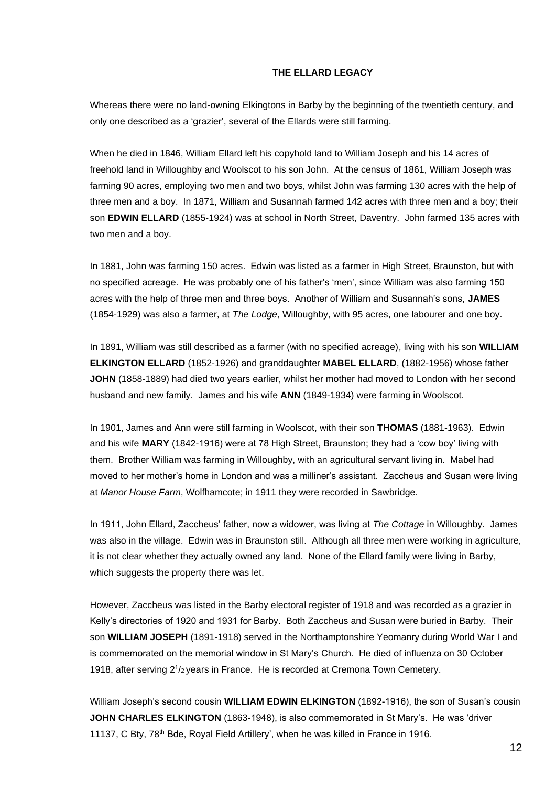#### **THE ELLARD LEGACY**

Whereas there were no land-owning Elkingtons in Barby by the beginning of the twentieth century, and only one described as a 'grazier', several of the Ellards were still farming.

When he died in 1846, William Ellard left his copyhold land to William Joseph and his 14 acres of freehold land in Willoughby and Woolscot to his son John. At the census of 1861, William Joseph was farming 90 acres, employing two men and two boys, whilst John was farming 130 acres with the help of three men and a boy. In 1871, William and Susannah farmed 142 acres with three men and a boy; their son **EDWIN ELLARD** (1855-1924) was at school in North Street, Daventry. John farmed 135 acres with two men and a boy.

In 1881, John was farming 150 acres. Edwin was listed as a farmer in High Street, Braunston, but with no specified acreage. He was probably one of his father's 'men', since William was also farming 150 acres with the help of three men and three boys. Another of William and Susannah's sons, **JAMES** (1854-1929) was also a farmer, at *The Lodge*, Willoughby, with 95 acres, one labourer and one boy.

In 1891, William was still described as a farmer (with no specified acreage), living with his son **WILLIAM ELKINGTON ELLARD** (1852-1926) and granddaughter **MABEL ELLARD**, (1882-1956) whose father **JOHN** (1858-1889) had died two years earlier, whilst her mother had moved to London with her second husband and new family. James and his wife **ANN** (1849-1934) were farming in Woolscot.

In 1901, James and Ann were still farming in Woolscot, with their son **THOMAS** (1881-1963). Edwin and his wife **MARY** (1842-1916) were at 78 High Street, Braunston; they had a 'cow boy' living with them. Brother William was farming in Willoughby, with an agricultural servant living in. Mabel had moved to her mother's home in London and was a milliner's assistant. Zaccheus and Susan were living at *Manor House Farm*, Wolfhamcote; in 1911 they were recorded in Sawbridge.

In 1911, John Ellard, Zaccheus' father, now a widower, was living at *The Cottage* in Willoughby. James was also in the village. Edwin was in Braunston still. Although all three men were working in agriculture, it is not clear whether they actually owned any land. None of the Ellard family were living in Barby, which suggests the property there was let.

However, Zaccheus was listed in the Barby electoral register of 1918 and was recorded as a grazier in Kelly's directories of 1920 and 1931 for Barby. Both Zaccheus and Susan were buried in Barby. Their son **WILLIAM JOSEPH** (1891-1918) served in the Northamptonshire Yeomanry during World War I and is commemorated on the memorial window in St Mary's Church. He died of influenza on 30 October 1918, after serving 2<sup>1</sup> /2 years in France. He is recorded at Cremona Town Cemetery.

William Joseph's second cousin **WILLIAM EDWIN ELKINGTON** (1892-1916), the son of Susan's cousin **JOHN CHARLES ELKINGTON** (1863-1948), is also commemorated in St Mary's. He was 'driver 11137, C Bty, 78th Bde, Royal Field Artillery', when he was killed in France in 1916.